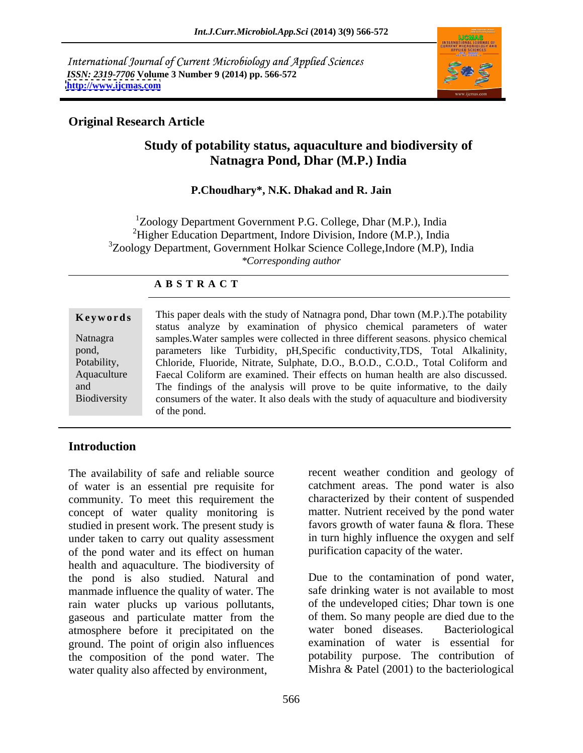International Journal of Current Microbiology and Applied Sciences *ISSN: 2319-7706* **Volume 3 Number 9 (2014) pp. 566-572 <http://www.ijcmas.com>**



## **Original Research Article**

# **Study of potability status, aquaculture and biodiversity of Natnagra Pond, Dhar (M.P.) India**

### **P.Choudhary\*, N.K. Dhakad and R. Jain**

 $1$ Zoology Department Government P.G. College, Dhar (M.P.), India  ${}^{2}$ Higher Education Department, Indore Division, Indore (M.P.), India  $3$ Zoology Department, Government Holkar Science College, Indore (M.P), India *\*Corresponding author* 

### **A B S T R A C T**

| Keywords            | This paper deals with the study of Natnagra pond, Dhar town (M.P.). The potability   |  |  |
|---------------------|--------------------------------------------------------------------------------------|--|--|
|                     | status analyze by examination of physico chemical parameters of water                |  |  |
| Natnagra            | samples. Water samples were collected in three different seasons. physico chemical   |  |  |
| pond,               | parameters like Turbidity, pH, Specific conductivity, TDS, Total Alkalinity,         |  |  |
| Potability          | Chloride, Fluoride, Nitrate, Sulphate, D.O., B.O.D., C.O.D., Total Coliform and      |  |  |
| Aquaculture         | Faecal Coliform are examined. Their effects on human health are also discussed.      |  |  |
| and                 | The findings of the analysis will prove to be quite informative, to the daily        |  |  |
| <b>Biodiversity</b> | consumers of the water. It also deals with the study of aquaculture and biodiversity |  |  |
|                     | of the pond.                                                                         |  |  |

### **Introduction**

The availability of safe and reliable source recent weather condition and geology of of water is an essential pre requisite for community. To meet this requirement the concept of water quality monitoring is matter. Nutrient received by the pond water<br>studied in present work. The present study is favors growth of water fauna & flora. These studied in present work. The present study is under taken to carry out quality assessment of the pond water and its effect on human health and aquaculture. The biodiversity of the pond is also studied. Natural and manmade influence the quality of water. The rain water plucks up various pollutants, gaseous and particulate matter from the of them. So many people<br>atmosphere before it precipitated on the water boned diseases. atmosphere before it precipitated on the ground. The point of origin also influences examination of water is essential for the composition of the pond water. The water quality also affected by environment,

catchment areas. The pond water is also characterized by their content of suspended matter. Nutrient received by the pond water favors growth of water fauna & flora. These in turn highly influence the oxygen and self purification capacity of the water.

Due to the contamination of pond water, safe drinking water is not available to most of the undeveloped cities; Dhar town is one of them. So many people are died due to the water boned diseases. Bacteriological potability purpose. The contribution of Mishra & Patel (2001) to the bacteriological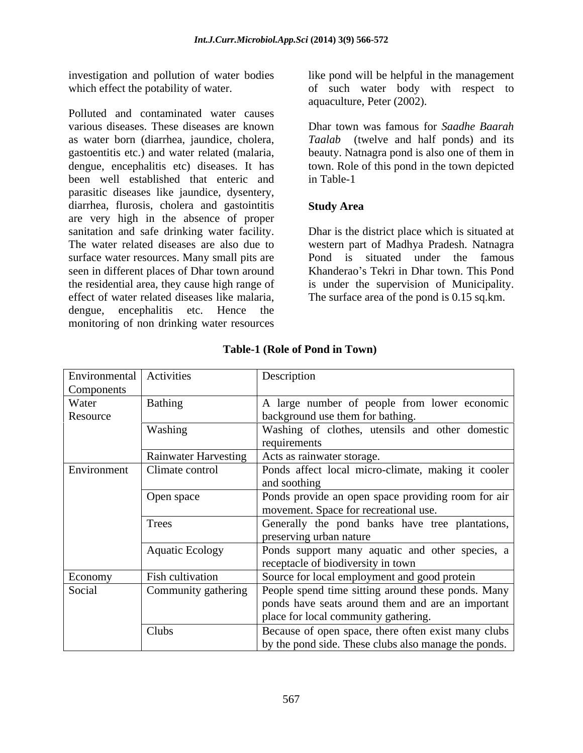Polluted and contaminated water causes various diseases. These diseases are known Dhar town was famous for *Saadhe Baarah*  as water born (diarrhea, jaundice, cholera, *Taalab* (twelve and half ponds) and its gastoentitis etc.) and water related (malaria, beauty. Natnagra pond is also one of them in dengue, encephalitis etc) diseases. It has town. Role of this pond in the town depicted been well established that enteric and parasitic diseases like jaundice, dysentery, diarrhea, flurosis, cholera and gastointitis Study Area are very high in the absence of proper sanitation and safe drinking water facility. Dhar is the district place which is situated at The water related diseases are also due to western part of Madhya Pradesh. Natnagra surface water resources. Many small pits are seen in different places of Dhar town around the residential area, they cause high range of is under the supervision of Municipality. effect of water related diseases like malaria, The surface area of the pond is 0.15 sq.km. dengue, encephalitis etc. Hence the monitoring of non drinking water resources

investigation and pollution of water bodies like pond will be helpful in the management which effect the potability of water. The of such water body with respect to aquaculture, Peter (2002).

in Table-1

### **Study Area**

Pond is situated under the famous Khanderao's Tekri in Dhar town. This Pond

| Environmental Activities |                             | Description                                                                                                                                     |
|--------------------------|-----------------------------|-------------------------------------------------------------------------------------------------------------------------------------------------|
| Components               |                             |                                                                                                                                                 |
| Water<br>Resource        | Bathing                     | A large number of people from lower economic<br>background use them for bathing.                                                                |
|                          | Washing                     | Washing of clothes, utensils and other domestic<br>requirements                                                                                 |
|                          | <b>Rainwater Harvesting</b> | Acts as rainwater storage.                                                                                                                      |
| Environment              | Climate control             | Ponds affect local micro-climate, making it cooler<br>and soothing                                                                              |
|                          | Open space                  | Ponds provide an open space providing room for air<br>movement. Space for recreational use.                                                     |
|                          | Trees                       | Generally the pond banks have tree plantations,<br>preserving urban nature                                                                      |
|                          | <b>Aquatic Ecology</b>      | Ponds support many aquatic and other species, a<br>receptacle of biodiversity in town                                                           |
| Economy                  | Fish cultivation            | Source for local employment and good protein                                                                                                    |
| Social                   | Community gathering         | People spend time sitting around these ponds. Many<br>ponds have seats around them and are an important<br>place for local community gathering. |
|                          | Clubs                       | Because of open space, there often exist many clubs<br>by the pond side. These clubs also manage the ponds.                                     |

### **Table-1 (Role of Pond in Town)**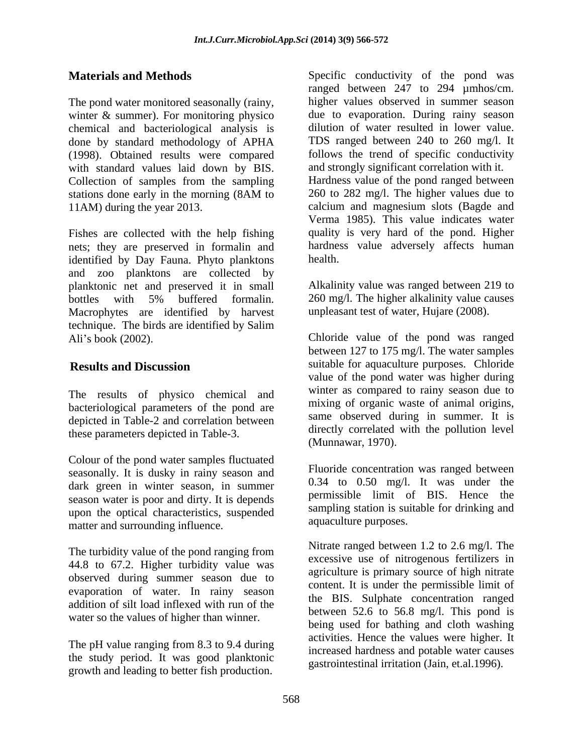winter & summer). For monitoring physico chemical and bacteriological analysis is<br>done by standard methodology of APHA (1998). Obtained results were compared with standard values laid down by BIS. Collection of samples from the sampling

Fishes are collected with the help fishing nets; they are preserved in formalin and identified by Day Fauna. Phyto planktons health. and zoo planktons are collected by planktonic net and preserved it in small<br>bottles with 5% buffered formalin. bottles with 5% buffered formalin. 260 mg/l. The higher alkalinity value causes Macrophytes are identified by harvest technique. The birds are identified by Salim

The results of physico chemical and bacteriological parameters of the pond are depicted in Table-2 and correlation between these parameters depicted in Table-3.

Colour of the pond water samples fluctuated seasonally. It is dusky in rainy season and dark green in winter season, in summer season water is poor and dirty. It is depends upon the optical characteristics, suspended matter and surrounding influence.

The turbidity value of the pond ranging from 44.8 to 67.2. Higher turbidity value was observed during summer season due to evaporation of water. In rainy season addition of silt load inflexed with run of the water so the values of higher than winner.

The pH value ranging from 8.3 to 9.4 during the study period. It was good planktonic growth and leading to better fish production.

**Materials and Methods** Specific conductivity of the pond was The pond water monitored seasonally (rainy, higher values observed in summer season done by standard methodology of APHA TDS ranged between 240 to 260 mg/l. It stations done early in the morning (8AM to 260 to 282 mg/l. The higher values due to 11AM) during the year 2013. calcium and magnesium slots (Bagde and ranged between 247 to 294 µmhos/cm. due to evaporation. During rainy season dilution of water resulted in lower value. follows the trend of specific conductivity and strongly significant correlation with it. Hardness value of the pond ranged between 260 to 282 mg/l. The higher values due to Verma 1985). This value indicates water quality is very hard of the pond. Higher hardness value adversely affects human health. **health health health health health health health health health health health health health health health health health health health health health health health health** 

> Alkalinity value was ranged between 219 to 260 mg/l. The higher alkalinity value causes unpleasant test of water, Hujare (2008).

Ali's book (2002). Chloride value of the pond was ranged **Results and Discussion** suitable for aquaculture purposes. Chloride between 127 to 175 mg/l. The water samples value of the pond water was higher during winter as compared to rainy season due to mixing of organic waste of animal origins, same observed during in summer. It is directly correlated with the pollution level (Munnawar, 1970).

> Fluoride concentration was ranged between 0.34 to 0.50 mg/l. It was under the permissible limit of BIS. Hence the sampling station is suitable for drinking and aquaculture purposes.

> Nitrate ranged between 1.2 to 2.6 mg/l. The excessive use of nitrogenous fertilizers in agriculture is primary source of high nitrate content. It is under the permissible limit of the BIS. Sulphate concentration ranged between 52.6 to 56.8 mg/l. This pond is being used for bathing and cloth washing activities. Hence the values were higher. It increased hardness and potable water causes gastrointestinal irritation (Jain, et.al.1996).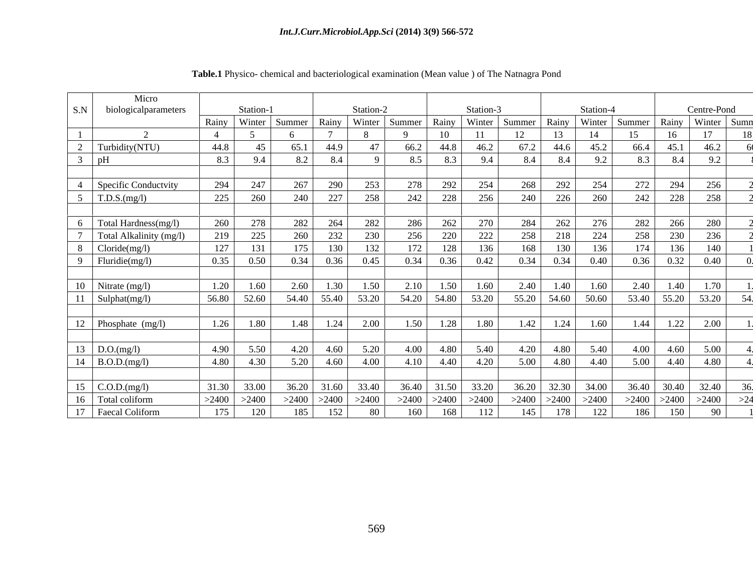|     | Micro                       |                 |             |        |                 |           |        |       |             |        |       |                |        |                   |             |
|-----|-----------------------------|-----------------|-------------|--------|-----------------|-----------|--------|-------|-------------|--------|-------|----------------|--------|-------------------|-------------|
| S.N | biologicalparameters        |                 | Station-    |        |                 | Station-2 |        |       | Station-3   |        |       | Station-4      |        |                   | Centre-Pond |
|     |                             | Rainy Winter    |             | Summer | Rainy           | Winter    | Summer | Rainy | Winter      | Summer | Rainy | Winter         | Summer | Rainy Winter      | Sumn        |
|     |                             |                 |             |        |                 |           |        | 10    |             |        |       | 14             | 15     | 16                | 17          |
|     | Turbidity(NTU)              | 44.8            |             | 65.1   | 44.9            |           | 66.2   | 44.8  | 46.2        | 67.2   | 44.6  | 45.2           | 66.4   | 45.1              | 46.2        |
|     |                             | 8.3             | 9.4         | 8.2    | 8.4             |           | 8.5    | 8.3   | 9.4         | 8.4    | 8.4   | Q <sub>0</sub> | 8.3    | 8.4               | 9.2         |
|     |                             |                 |             |        |                 |           |        |       |             |        |       |                |        |                   |             |
|     | <b>Specific Conductvity</b> | 294             | 247         | 267    | 290             | 253       | 278    | 292   | 254         | 268    | 292   | 254            | 272    | 294               | 256         |
|     |                             |                 |             |        |                 |           |        |       |             |        |       |                |        |                   |             |
|     | $5$ T.D.S.(mg/l)            | 225             | 260         | 240    | 227             | 258       | 242    | 228   | 256         | 240    | 226   | 260            | 242    | 228               | 258         |
|     |                             |                 |             |        |                 |           |        |       |             |        |       |                |        |                   |             |
| 6   | Total Hardness(mg/l)        | 260             | 278         | 282    | 264             | 282       | 286    | 262   | 270         | 284    | 262   | 276            | 282    | 266               | 280         |
|     | Total Alkalinity (mg/l)     | 219             | 225         | 260    | 232             | 230       | 256    | 220   | 222         | 258    | 218   | 224            | 258    | 230               | 236         |
|     | 8 Cloride(mg/l)             | 127             | 131         | 175    | 130             | 132       | 172    | 128   |             | 168    | 130   | 136            | 174    | 136               | 140         |
|     | 9   Fluridie(mg/l)          | 0.35            | 0.50        | 0.34   | 0.36            | 0.45      | 0.34   | 0.36  | 0.42        | 0.34   | 0.34  | 0.40           | 0.36   | 0.32              | 0.40        |
|     |                             |                 |             |        |                 |           |        |       |             |        |       |                |        |                   |             |
|     | $10$ Nitrate (mg/l)         | 1.20            | 1.60        | 2.60   | 1.30            | 1.50      | 2.10   | 1.50  | 1.60        | 2.40   | 1.40  | 1.60           | 2.40   | 1.40              | 1.70        |
|     |                             | 56.80           | 52.60       | 54.40  | 55.40           | 53.20     | 54.20  | 54.80 | 53.20       | 55.20  | 54.60 | 50.60          | 53.40  | 55.20             | 53.20       |
|     | 11 Sulphat(mg/l)            |                 |             |        |                 |           |        |       |             |        |       |                |        |                   |             |
|     |                             |                 |             |        |                 |           |        |       |             |        |       |                |        |                   |             |
|     | 12 Phosphate (mg/l)         |                 | $1.26$ 1.80 | 1.48   | 1.24            | 2.00      | 1.50   | 1.28  | 1.80        | 1.42   | 1.24  | 1.60           | 1.44   | 1.22              | 2.00        |
|     |                             |                 |             |        |                 |           |        |       |             |        |       |                |        |                   |             |
|     | 13 $D.O.(mg/l)$             | 4.90            | 5.50        | 4.20   | 4.60            | 5.20      | 4.00   | 4.80  | 5.40        | 4.20   | 4.80  | 5.40           | 4.00   | 4.60              | 5.00        |
|     | 14 B.O.D.(mg/l)             | 4.80            | 4.30        | 5.20   | 4.60            | 4.00      | 4.10   | 4.40  | 4.20        | 5.00   | 4.80  | 4.40           | 5.00   | 4.40              | 4.80        |
|     |                             |                 |             |        |                 |           |        |       |             |        |       |                |        |                   |             |
| 15  | $\mathcal{C}.O.D.(mg/l)$    |                 | 31.30 33.00 | 36.20  | 31.60           | 33.40     | 36.40  |       | 31.50 33.20 | 36.20  | 32.30 | 34.00          |        | 36.40 30.40 32.40 |             |
|     | 16 Total coliform           | $>2400$ $>2400$ |             |        | $>2400$ $>2400$ | >2400     | >2400  | >2400 | >2400       | >2400  | >2400 | >2400          | >2400  | >2400             | >2400       |
|     |                             |                 |             |        |                 |           |        |       |             |        |       |                |        |                   |             |
|     | 17 Faecal Coliform          | 175             | 120         | 185    | 152             | 80        | 160    | 168   |             | 145    | 178   | 122            | 186    | 150               | -90         |

### **Table.1** Physico- chemical and bacteriological examination (Mean value ) of The Natnagra Pond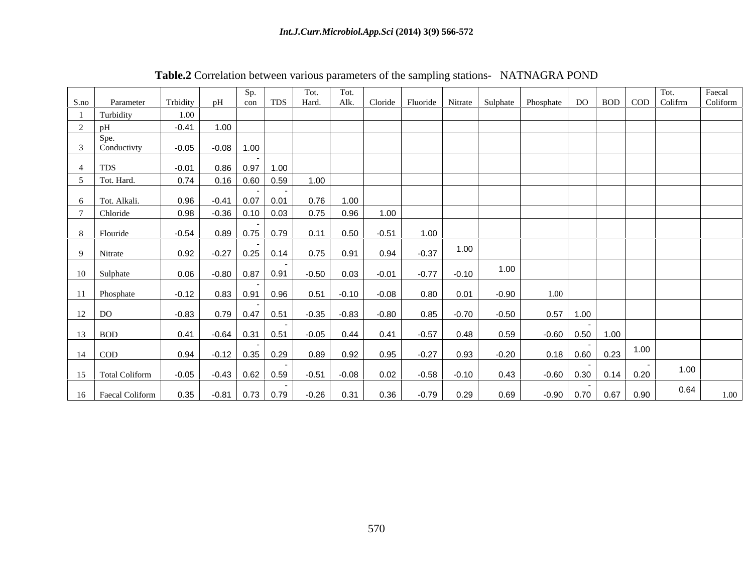| Cloride Fluoride Nitrate Sulphate Phosphate DO BOD COD Colifrm Coliform<br>Hard. Alk.<br>nH<br>$\log$ 1 TDS<br>Trbidity<br>Parameter<br>S.no<br>1 Turbidity<br>$-0.41$<br>$\begin{array}{c c} 2 & pH \\ \hline & Spe. \end{array}$<br>$-0.05$<br>3 Conductivty<br>$-0.08$ 1.00<br>$-0.01$<br>$0.86$ 0.97 1.00<br>$4$ TDS<br>$0.16$ 0.60 0.59<br>5 Tot. Hard.<br>0.74<br>1.00<br>$0.76$ 1.00<br>6 Tot. Alkali.<br>0.96<br>$-0.41$ 0.07 0.01<br>0.75<br>0.96<br>$-0.36$ 0.10 0.03<br>0.98<br>$\overline{\phantom{a}}$ Chloride<br>1.00<br>0.11<br>$-0.51$<br>0.50<br>1.00<br>8 Flouride<br>$-0.54$<br>$0.89$ 0.75 0.79<br>1.00<br>0.75<br>0.94<br>$-0.37$<br>0.91<br>0.92<br>$-0.27$ 0.25 0.14<br>9 Nitrate<br>1.00<br>$-0.80$ 0.87 0.91 $-0.50$<br>$0.03 -0.01$<br>$-0.77$<br>$-0.10$<br>10 Sulphate<br>0.06<br>$0.51$ $-0.10$<br>$-0.08$<br>0.80<br>0.01<br>$-0.90$<br>$-0.12$<br>$0.83$ 0.91 0.96<br>11 Phosphate<br>1.00<br>$0.57$ 1.00<br>$0.79$ $0.47$ $0.51$ $-0.35$ $-0.83$<br>$-0.80$<br>$0.85 -0.70$<br>$-0.50$<br>$12$ DO<br>$-0.83$<br>$13$ BOD<br>$-0.05$<br>$-0.60$ 0.50 1.00<br>0.48<br>0.41<br>0.44<br>0.41<br>$-0.57$<br>0.59<br>$-0.64$ 0.31 0.51<br>. ا 1.00 <mark>∣ 0.<u>23</u> ∣ 1.00</mark><br>$14$ COD<br>$0.18$ 0.60<br>0.93<br>0.94<br>0.89<br>0.95<br>$-0.27$<br>$-0.20$<br>0.92<br>$-0.12$ 0.35 0.29<br>1.00<br>$-0.51$<br>0.02<br>$-0.10$<br>$-0.60$ 0.30 0.14 0.20<br>15 Total Coliform<br>$-0.58$<br>0.43<br>$-0.05$<br>$-0.08$<br>$-0.43$ 0.62 0.59<br>0.64<br>16   Faecal Coliform<br>$-0.26$<br>$-0.90$ 0.70 0.67 0.90<br>$-0.81$ 0.73 0.79 |  |      | Sp. I | Tot. | Tot. |      |      |  |  |  |
|----------------------------------------------------------------------------------------------------------------------------------------------------------------------------------------------------------------------------------------------------------------------------------------------------------------------------------------------------------------------------------------------------------------------------------------------------------------------------------------------------------------------------------------------------------------------------------------------------------------------------------------------------------------------------------------------------------------------------------------------------------------------------------------------------------------------------------------------------------------------------------------------------------------------------------------------------------------------------------------------------------------------------------------------------------------------------------------------------------------------------------------------------------------------------------------------------------------------------------------------------------------------------------------------------------------------------------------------------------------------------------------------------------------------------------------------------------------------------------------------------------------------------------------------------------------------------|--|------|-------|------|------|------|------|--|--|--|
|                                                                                                                                                                                                                                                                                                                                                                                                                                                                                                                                                                                                                                                                                                                                                                                                                                                                                                                                                                                                                                                                                                                                                                                                                                                                                                                                                                                                                                                                                                                                                                            |  |      |       |      |      |      |      |  |  |  |
|                                                                                                                                                                                                                                                                                                                                                                                                                                                                                                                                                                                                                                                                                                                                                                                                                                                                                                                                                                                                                                                                                                                                                                                                                                                                                                                                                                                                                                                                                                                                                                            |  |      |       |      |      |      |      |  |  |  |
|                                                                                                                                                                                                                                                                                                                                                                                                                                                                                                                                                                                                                                                                                                                                                                                                                                                                                                                                                                                                                                                                                                                                                                                                                                                                                                                                                                                                                                                                                                                                                                            |  |      |       |      |      |      |      |  |  |  |
|                                                                                                                                                                                                                                                                                                                                                                                                                                                                                                                                                                                                                                                                                                                                                                                                                                                                                                                                                                                                                                                                                                                                                                                                                                                                                                                                                                                                                                                                                                                                                                            |  |      |       |      |      |      |      |  |  |  |
|                                                                                                                                                                                                                                                                                                                                                                                                                                                                                                                                                                                                                                                                                                                                                                                                                                                                                                                                                                                                                                                                                                                                                                                                                                                                                                                                                                                                                                                                                                                                                                            |  |      |       |      |      |      |      |  |  |  |
|                                                                                                                                                                                                                                                                                                                                                                                                                                                                                                                                                                                                                                                                                                                                                                                                                                                                                                                                                                                                                                                                                                                                                                                                                                                                                                                                                                                                                                                                                                                                                                            |  |      |       |      |      |      |      |  |  |  |
|                                                                                                                                                                                                                                                                                                                                                                                                                                                                                                                                                                                                                                                                                                                                                                                                                                                                                                                                                                                                                                                                                                                                                                                                                                                                                                                                                                                                                                                                                                                                                                            |  |      |       |      |      |      |      |  |  |  |
|                                                                                                                                                                                                                                                                                                                                                                                                                                                                                                                                                                                                                                                                                                                                                                                                                                                                                                                                                                                                                                                                                                                                                                                                                                                                                                                                                                                                                                                                                                                                                                            |  |      |       |      |      |      |      |  |  |  |
|                                                                                                                                                                                                                                                                                                                                                                                                                                                                                                                                                                                                                                                                                                                                                                                                                                                                                                                                                                                                                                                                                                                                                                                                                                                                                                                                                                                                                                                                                                                                                                            |  |      |       |      |      |      |      |  |  |  |
|                                                                                                                                                                                                                                                                                                                                                                                                                                                                                                                                                                                                                                                                                                                                                                                                                                                                                                                                                                                                                                                                                                                                                                                                                                                                                                                                                                                                                                                                                                                                                                            |  |      |       |      |      |      |      |  |  |  |
|                                                                                                                                                                                                                                                                                                                                                                                                                                                                                                                                                                                                                                                                                                                                                                                                                                                                                                                                                                                                                                                                                                                                                                                                                                                                                                                                                                                                                                                                                                                                                                            |  |      |       |      |      |      |      |  |  |  |
|                                                                                                                                                                                                                                                                                                                                                                                                                                                                                                                                                                                                                                                                                                                                                                                                                                                                                                                                                                                                                                                                                                                                                                                                                                                                                                                                                                                                                                                                                                                                                                            |  |      |       |      |      |      |      |  |  |  |
|                                                                                                                                                                                                                                                                                                                                                                                                                                                                                                                                                                                                                                                                                                                                                                                                                                                                                                                                                                                                                                                                                                                                                                                                                                                                                                                                                                                                                                                                                                                                                                            |  |      |       |      |      |      |      |  |  |  |
|                                                                                                                                                                                                                                                                                                                                                                                                                                                                                                                                                                                                                                                                                                                                                                                                                                                                                                                                                                                                                                                                                                                                                                                                                                                                                                                                                                                                                                                                                                                                                                            |  |      |       |      |      |      |      |  |  |  |
|                                                                                                                                                                                                                                                                                                                                                                                                                                                                                                                                                                                                                                                                                                                                                                                                                                                                                                                                                                                                                                                                                                                                                                                                                                                                                                                                                                                                                                                                                                                                                                            |  |      |       |      |      |      |      |  |  |  |
|                                                                                                                                                                                                                                                                                                                                                                                                                                                                                                                                                                                                                                                                                                                                                                                                                                                                                                                                                                                                                                                                                                                                                                                                                                                                                                                                                                                                                                                                                                                                                                            |  |      |       |      |      |      |      |  |  |  |
|                                                                                                                                                                                                                                                                                                                                                                                                                                                                                                                                                                                                                                                                                                                                                                                                                                                                                                                                                                                                                                                                                                                                                                                                                                                                                                                                                                                                                                                                                                                                                                            |  |      |       |      |      |      |      |  |  |  |
|                                                                                                                                                                                                                                                                                                                                                                                                                                                                                                                                                                                                                                                                                                                                                                                                                                                                                                                                                                                                                                                                                                                                                                                                                                                                                                                                                                                                                                                                                                                                                                            |  |      |       |      |      |      |      |  |  |  |
|                                                                                                                                                                                                                                                                                                                                                                                                                                                                                                                                                                                                                                                                                                                                                                                                                                                                                                                                                                                                                                                                                                                                                                                                                                                                                                                                                                                                                                                                                                                                                                            |  |      |       |      |      |      |      |  |  |  |
|                                                                                                                                                                                                                                                                                                                                                                                                                                                                                                                                                                                                                                                                                                                                                                                                                                                                                                                                                                                                                                                                                                                                                                                                                                                                                                                                                                                                                                                                                                                                                                            |  |      |       |      |      |      |      |  |  |  |
|                                                                                                                                                                                                                                                                                                                                                                                                                                                                                                                                                                                                                                                                                                                                                                                                                                                                                                                                                                                                                                                                                                                                                                                                                                                                                                                                                                                                                                                                                                                                                                            |  |      |       |      |      |      |      |  |  |  |
|                                                                                                                                                                                                                                                                                                                                                                                                                                                                                                                                                                                                                                                                                                                                                                                                                                                                                                                                                                                                                                                                                                                                                                                                                                                                                                                                                                                                                                                                                                                                                                            |  |      |       |      |      |      |      |  |  |  |
|                                                                                                                                                                                                                                                                                                                                                                                                                                                                                                                                                                                                                                                                                                                                                                                                                                                                                                                                                                                                                                                                                                                                                                                                                                                                                                                                                                                                                                                                                                                                                                            |  |      |       |      |      |      |      |  |  |  |
|                                                                                                                                                                                                                                                                                                                                                                                                                                                                                                                                                                                                                                                                                                                                                                                                                                                                                                                                                                                                                                                                                                                                                                                                                                                                                                                                                                                                                                                                                                                                                                            |  | 0.35 |       |      | 0.31 | 0.36 | 0.29 |  |  |  |

**Table.2** Correlation between various parameters of the sampling stations- NATNAGRA POND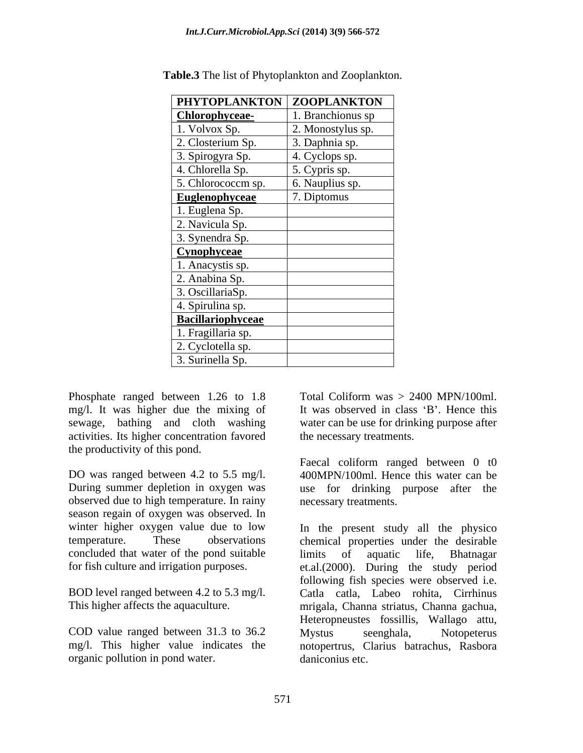| PHYTOPLANKTON ZOOPLANKTON |                   |
|---------------------------|-------------------|
| Chlorophyceae-            | 1. Branchionus sp |
| 1. Volvox Sp.             | 2. Monostylus sp. |
| 2. Closterium Sp.         | 3. Daphnia sp.    |
| 3. Spirogyra Sp.          | 4. Cyclops sp.    |
| 4. Chlorella Sp.          | 5. Cypris sp.     |
| 5. Chlorococcm sp.        | 6. Nauplius sp.   |
| <b>Euglenophyceae</b>     | 7. Diptomus       |
| 1. Euglena Sp.            |                   |
| 2. Navicula Sp.           |                   |
| 3. Synendra Sp.           |                   |
| Cynophyceae               |                   |
| 1. Anacystis sp.          |                   |
| 2. Anabina Sp.            |                   |
| 3. OscillariaSp.          |                   |
| 4. Spirulina sp.          |                   |
| <b>Bacillariophyceae</b>  |                   |
| 1. Fragillaria sp.        |                   |
| 2. Cyclotella sp.         |                   |
| 3. Surinella Sp.          |                   |

**Table.3** The list of Phytoplankton and Zooplankton.

Phosphate ranged between 1.26 to 1.8 mg/l. It was higher due the mixing of sewage, bathing and cloth washing water can be use for drinking purpose after activities. Its higher concentration favored the productivity of this pond.

DO was ranged between 4.2 to 5.5 mg/l. observed due to high temperature. In rainy season regain of oxygen was observed. In concluded that water of the pond suitable

COD value ranged between 31.3 to 36.2 Mystus seenghala, Notopeterus organic pollution in pond water.

Total Coliform was  $> 2400$  MPN/100ml. It was observed in class 'B'. Hence this the necessary treatments.

During summer depletion in oxygen was use for drinking purpose after the Faecal coliform ranged between 0 t0 400MPN/100ml. Hence this water can be necessary treatments.

winter higher oxygen value due to low In the present study all the physico temperature. These observations chemical properties under the desirable for fish culture and irrigation purposes. et.al.(2000). During the study period BOD level ranged between 4.2 to 5.3 mg/l. Catla catla, Labeo rohita, Cirrhinus This higher affects the aquaculture. mrigala, Channa striatus, Channa gachua, mg/l. This higher value indicates the notopertrus, Clarius batrachus, Rasbora limits of aquatic life, Bhatnagar following fish species were observed i.e. Heteropneustes fossillis, Wallago attu, Mystus seenghala, Notopeterus daniconius etc.